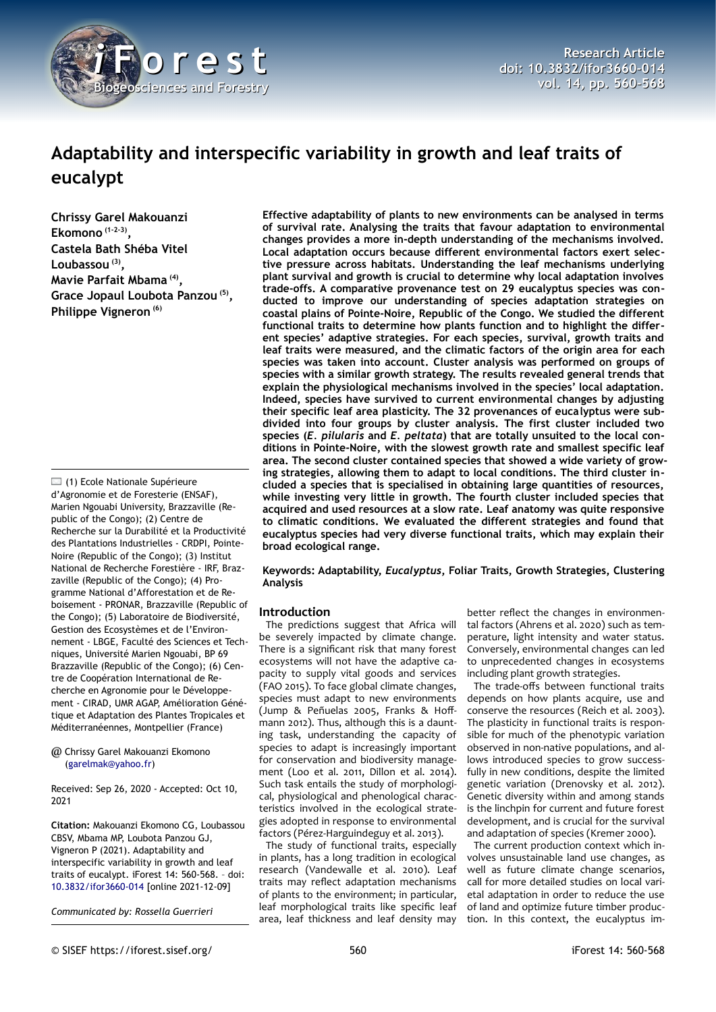

# **Adaptability and interspecific variability in growth and leaf traits of eucalypt**

**Chrissy Garel Makouanzi Ekomono (1-2-3) , Castela Bath Shéba Vitel Loubassou (3) , Mavie Parfait Mbama (4) , Grace Jopaul Loubota Panzou (5) , Philippe Vigneron (6)**

 $\Box$  (1) Ecole Nationale Supérieure d'Agronomie et de Foresterie (ENSAF), Marien Ngouabi University, Brazzaville (Republic of the Congo); (2) Centre de Recherche sur la Durabilité et la Productivité des Plantations Industrielles - CRDPI, Pointe-Noire (Republic of the Congo); (3) Institut National de Recherche Forestière - IRF, Brazzaville (Republic of the Congo); (4) Programme National d'Afforestation et de Reboisement - PRONAR, Brazzaville (Republic of the Congo); (5) Laboratoire de Biodiversité, Gestion des Ecosystèmes et de l'Environnement - LBGE, Faculté des Sciences et Techniques, Université Marien Ngouabi, BP 69 Brazzaville (Republic of the Congo); (6) Centre de Coopération International de Recherche en Agronomie pour le Développement - CIRAD, UMR AGAP, Amélioration Génétique et Adaptation des Plantes Tropicales et Méditerranéennes, Montpellier (France)

#### @ Chrissy Garel Makouanzi Ekomono ([garelmak@yahoo.fr](mailto:garelmak@yahoo.fr))

Received: Sep 26, 2020 - Accepted: Oct 10, 2021

**Citation:** Makouanzi Ekomono CG, Loubassou CBSV, Mbama MP, Loubota Panzou GJ, Vigneron P (2021). Adaptability and interspecific variability in growth and leaf traits of eucalypt. iForest 14: 560-568. – doi: [10.3832/ifor3660-014](http://www.sisef.it/iforest/contents/?id=ifor3660-014) [online 2021-12-09]

*Communicated by: Rossella Guerrieri*

**Effective adaptability of plants to new environments can be analysed in terms of survival rate. Analysing the traits that favour adaptation to environmental changes provides a more in-depth understanding of the mechanisms involved. Local adaptation occurs because different environmental factors exert selective pressure across habitats. Understanding the leaf mechanisms underlying plant survival and growth is crucial to determine why local adaptation involves trade-offs. A comparative provenance test on 29 eucalyptus species was conducted to improve our understanding of species adaptation strategies on coastal plains of Pointe-Noire, Republic of the Congo. We studied the different functional traits to determine how plants function and to highlight the different species' adaptive strategies. For each species, survival, growth traits and leaf traits were measured, and the climatic factors of the origin area for each species was taken into account. Cluster analysis was performed on groups of species with a similar growth strategy. The results revealed general trends that explain the physiological mechanisms involved in the species' local adaptation. Indeed, species have survived to current environmental changes by adjusting their specific leaf area plasticity. The 32 provenances of eucalyptus were subdivided into four groups by cluster analysis. The first cluster included two species (***E. pilularis* **and** *E. peltata***) that are totally unsuited to the local conditions in Pointe-Noire, with the slowest growth rate and smallest specific leaf area. The second cluster contained species that showed a wide variety of growing strategies, allowing them to adapt to local conditions. The third cluster included a species that is specialised in obtaining large quantities of resources, while investing very little in growth. The fourth cluster included species that acquired and used resources at a slow rate. Leaf anatomy was quite responsive to climatic conditions. We evaluated the different strategies and found that eucalyptus species had very diverse functional traits, which may explain their broad ecological range.**

# **Keywords: Adaptability,** *Eucalyptus***, Foliar Traits, Growth Strategies, Clustering Analysis**

# **Introduction**

The predictions suggest that Africa will be severely impacted by climate change. There is a significant risk that many forest ecosystems will not have the adaptive capacity to supply vital goods and services (FAO 2015). To face global climate changes, species must adapt to new environments (Jump & Peñuelas 2005, Franks & Hoffmann 2012). Thus, although this is a daunting task, understanding the capacity of species to adapt is increasingly important for conservation and biodiversity management (Loo et al. 2011, Dillon et al. 2014). Such task entails the study of morphological, physiological and phenological characteristics involved in the ecological strategies adopted in response to environmental factors (Pérez-Harguindeguy et al. 2013).

The study of functional traits, especially in plants, has a long tradition in ecological research (Vandewalle et al. 2010). Leaf traits may reflect adaptation mechanisms of plants to the environment; in particular, leaf morphological traits like specific leaf area, leaf thickness and leaf density may

better reflect the changes in environmental factors (Ahrens et al. 2020) such as temperature, light intensity and water status. Conversely, environmental changes can led to unprecedented changes in ecosystems including plant growth strategies.

The trade-offs between functional traits depends on how plants acquire, use and conserve the resources (Reich et al. 2003). The plasticity in functional traits is responsible for much of the phenotypic variation observed in non-native populations, and allows introduced species to grow successfully in new conditions, despite the limited genetic variation (Drenovsky et al. 2012). Genetic diversity within and among stands is the linchpin for current and future forest development, and is crucial for the survival and adaptation of species (Kremer 2000).

The current production context which involves unsustainable land use changes, as well as future climate change scenarios, call for more detailed studies on local varietal adaptation in order to reduce the use of land and optimize future timber production. In this context, the eucalyptus im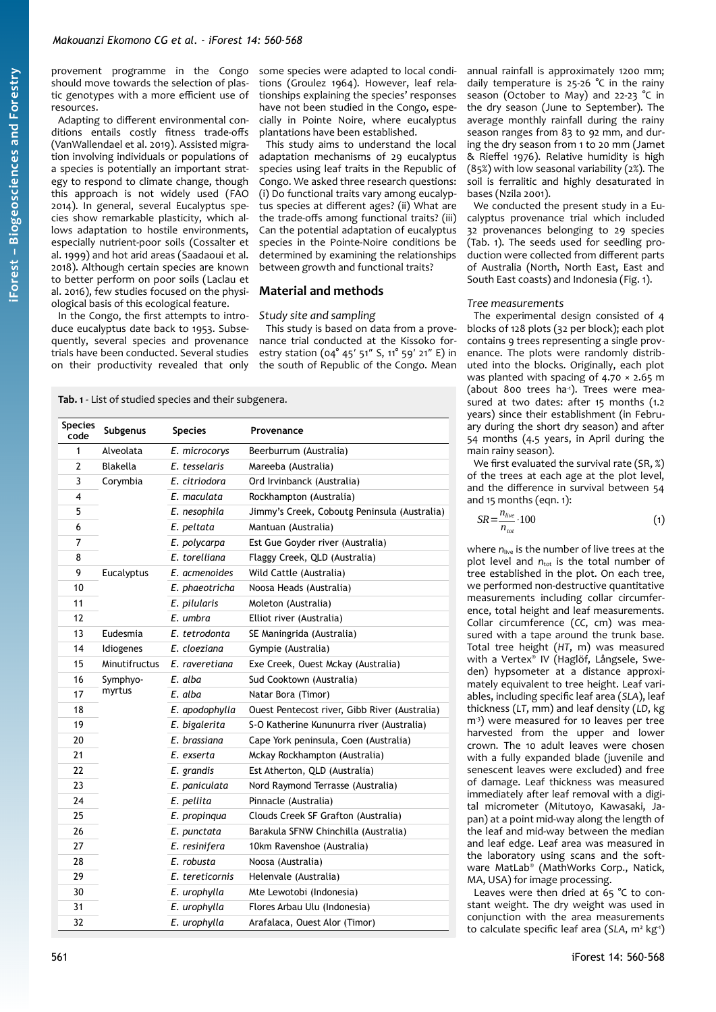provement programme in the Congo should move towards the selection of plastic genotypes with a more efficient use of resources.

Adapting to different environmental conditions entails costly fitness trade-offs (VanWallendael et al. 2019). Assisted migration involving individuals or populations of a species is potentially an important strategy to respond to climate change, though this approach is not widely used (FAO 2014). In general, several Eucalyptus species show remarkable plasticity, which allows adaptation to hostile environments, especially nutrient-poor soils (Cossalter et al. 1999) and hot arid areas (Saadaoui et al. 2018). Although certain species are known to better perform on poor soils (Laclau et al. 2016), few studies focused on the physiological basis of this ecological feature.

In the Congo, the first attempts to introduce eucalyptus date back to 1953. Subsequently, several species and provenance trials have been conducted. Several studies on their productivity revealed that only

some species were adapted to local conditions (Groulez 1964). However, leaf relationships explaining the species' responses have not been studied in the Congo, especially in Pointe Noire, where eucalyptus plantations have been established.

This study aims to understand the local adaptation mechanisms of 29 eucalyptus species using leaf traits in the Republic of Congo. We asked three research questions: (i) Do functional traits vary among eucalyptus species at different ages? (ii) What are the trade-offs among functional traits? (iii) Can the potential adaptation of eucalyptus species in the Pointe-Noire conditions be determined by examining the relationships between growth and functional traits?

# **Material and methods**

#### *Study site and sampling*

This study is based on data from a provenance trial conducted at the Kissoko forestry station (04° 45′ 51″ S, 11° 59′ 21″ E) in the south of Republic of the Congo. Mean

<span id="page-1-0"></span>**Tab. 1** - List of studied species and their subgenera.

| <b>Species</b><br>code | Subgenus      | <b>Species</b>  | Provenance                                    |  |
|------------------------|---------------|-----------------|-----------------------------------------------|--|
| $\mathbf{1}$           | Alveolata     | E. microcorys   | Beerburrum (Australia)                        |  |
| $\overline{2}$         | Blakella      | E. tesselaris   | Mareeba (Australia)                           |  |
| 3                      | Corymbia      | E. citriodora   | Ord Irvinbanck (Australia)                    |  |
| 4                      |               | E. maculata     | Rockhampton (Australia)                       |  |
| 5                      |               | E. nesophila    | Jimmy's Creek, Coboutg Peninsula (Australia)  |  |
| 6                      |               | E. peltata      | Mantuan (Australia)                           |  |
| $\overline{7}$         |               | E. polycarpa    | Est Gue Goyder river (Australia)              |  |
| 8                      |               | E. torelliana   | Flaggy Creek, QLD (Australia)                 |  |
| 9                      | Eucalyptus    | E. acmenoides   | Wild Cattle (Australia)                       |  |
| 10                     |               | E. phaeotricha  | Noosa Heads (Australia)                       |  |
| 11                     |               | E. pilularis    | Moleton (Australia)                           |  |
| 12                     |               | E. umbra        | Elliot river (Australia)                      |  |
| 13                     | Eudesmia      | E. tetrodonta   | SE Maningrida (Australia)                     |  |
| 14                     | Idiogenes     | E. cloeziana    | Gympie (Australia)                            |  |
| 15                     | Minutifructus | E. raveretiana  | Exe Creek, Ouest Mckay (Australia)            |  |
| 16                     | Symphyo-      | E. alba         | Sud Cooktown (Australia)                      |  |
| 17                     | myrtus        | E. alba         | Natar Bora (Timor)                            |  |
| 18                     |               | E. apodophylla  | Ouest Pentecost river, Gibb River (Australia) |  |
| 19                     |               | E. bigalerita   | S-O Katherine Kununurra river (Australia)     |  |
| 20                     |               | E. brassiana    | Cape York peninsula, Coen (Australia)         |  |
| 21                     |               | E. exserta      | Mckay Rockhampton (Australia)                 |  |
| 22                     |               | E. grandis      | Est Atherton, QLD (Australia)                 |  |
| 23                     |               | E. paniculata   | Nord Raymond Terrasse (Australia)             |  |
| 24                     |               | E. pellita      | Pinnacle (Australia)                          |  |
| 25                     |               | E. propinqua    | Clouds Creek SF Grafton (Australia)           |  |
| 26                     |               | E. punctata     | Barakula SFNW Chinchilla (Australia)          |  |
| 27                     |               | E. resinifera   | 10km Ravenshoe (Australia)                    |  |
| 28                     |               | E. robusta      | Noosa (Australia)                             |  |
| 29                     |               | E. tereticornis | Helenvale (Australia)                         |  |
| 30                     |               | E. urophylla    | Mte Lewotobi (Indonesia)                      |  |
| 31                     |               | E. urophylla    | Flores Arbau Ulu (Indonesia)                  |  |
| 32                     |               | E. urophylla    | Arafalaca, Ouest Alor (Timor)                 |  |

annual rainfall is approximately 1200 mm; daily temperature is  $25-26$  °C in the rainy season (October to May) and 22-23 °C in the dry season (June to September). The average monthly rainfall during the rainy season ranges from 83 to 92 mm, and during the dry season from 1 to 20 mm (Jamet & Rieffel 1976). Relative humidity is high (85%) with low seasonal variability (2%). The soil is ferralitic and highly desaturated in bases (Nzila 2001).

We conducted the present study in a Eucalyptus provenance trial which included 32 provenances belonging to 29 species [\(Tab. 1](#page-1-0)). The seeds used for seedling production were collected from different parts of Australia (North, North East, East and South East coasts) and Indonesia ([Fig. 1](#page-2-0)).

#### *Tree measurements*

The experimental design consisted of 4 blocks of 128 plots (32 per block); each plot contains 9 trees representing a single provenance. The plots were randomly distributed into the blocks. Originally, each plot was planted with spacing of  $4.70 \times 2.65$  m (about 800 trees ha<sup>1</sup>). Trees were measured at two dates: after 15 months (1.2 years) since their establishment (in February during the short dry season) and after 54 months (4.5 years, in April during the main rainy season).

We first evaluated the survival rate (SR, %) of the trees at each age at the plot level, and the difference in survival between 54 and 15 months (eqn. 1):

$$
SR = \frac{n_{live}}{n_{tot}} \cdot 100\tag{1}
$$

where  $n_{\text{live}}$  is the number of live trees at the plot level and  $n_{\text{tot}}$  is the total number of .<br>tree established in the plot. On each tree, we performed non-destructive quantitative measurements including collar circumference, total height and leaf measurements. Collar circumference (*CC*, cm) was measured with a tape around the trunk base. Total tree height (*HT*, m) was measured with a Vertex® IV (Haglöf, Långsele, Sweden) hypsometer at a distance approximately equivalent to tree height. Leaf variables, including specific leaf area (*SLA*), leaf thickness (*LT*, mm) and leaf density (*LD*, kg m<sup>3</sup>) were measured for 10 leaves per tree harvested from the upper and lower crown. The 10 adult leaves were chosen with a fully expanded blade (juvenile and senescent leaves were excluded) and free of damage. Leaf thickness was measured immediately after leaf removal with a digital micrometer (Mitutoyo, Kawasaki, Japan) at a point mid-way along the length of the leaf and mid-way between the median and leaf edge. Leaf area was measured in the laboratory using scans and the software MatLab® (MathWorks Corp., Natick, MA, USA) for image processing.

Leaves were then dried at 65 °C to constant weight. The dry weight was used in conjunction with the area measurements to calculate specific leaf area (*SLA*, m² kg-1)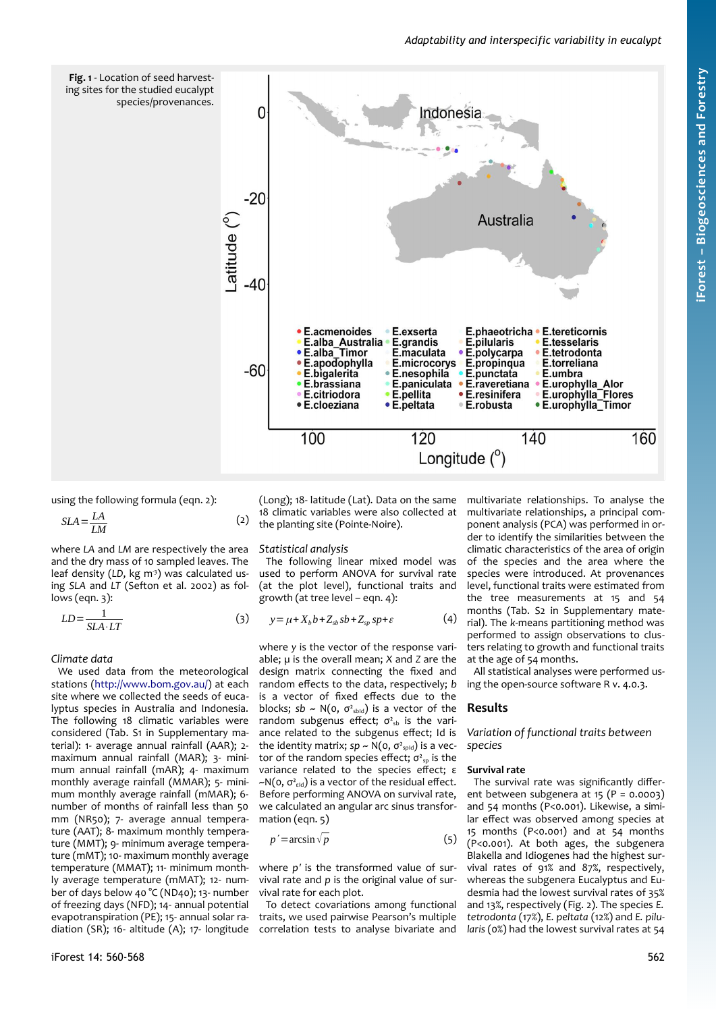# *Adaptability and interspecific variability in eucalypt*

<span id="page-2-0"></span>

using the following formula (eqn. 2):

$$
SLA = \frac{LA}{LM} \tag{2}
$$

where *LA* and *LM* are respectively the area and the dry mass of 10 sampled leaves. The leaf density (LD, kg m<sup>3</sup>) was calculated using *SLA* and *LT* (Sefton et al. 2002) as follows (eqn. 3):

$$
LD = \frac{1}{SLA \cdot LT}
$$
 (3)  $y = \mu + X_b b + Z_{sb} sb + Z_{sp} sp + \varepsilon$ 

*Climate data*

We used data from the meteorological stations ([http://www.bom.gov.au/\)](http://www.bom.gov.au/) at each site where we collected the seeds of eucalyptus species in Australia and Indonesia. The following 18 climatic variables were considered (Tab. S1 in Supplementary material): 1- average annual rainfall (AAR); 2 maximum annual rainfall (MAR); 3- minimum annual rainfall (mAR); 4- maximum monthly average rainfall (MMAR); 5- minimum monthly average rainfall (mMAR); 6 number of months of rainfall less than 50 mm (NR50); 7- average annual temperature (AAT); 8- maximum monthly temperature (MMT); 9- minimum average temperature (mMT); 10- maximum monthly average temperature (MMAT); 11- minimum monthly average temperature (mMAT); 12- number of days below 40 °C (ND40); 13- number of freezing days (NFD); 14- annual potential evapotranspiration (PE); 15- annual solar radiation (SR); 16- altitude (A); 17- longitude (Long); 18- latitude (Lat). Data on the same 18 climatic variables were also collected at the planting site (Pointe-Noire).

#### *Statistical analysis*

The following linear mixed model was used to perform ANOVA for survival rate (at the plot level), functional traits and growth (at tree level – eqn. 4):

$$
y = \mu + X_b b + Z_{sb} sb + Z_{sp} sp + \varepsilon \tag{4}
$$

where *y* is the vector of the response variable; *µ* is the overall mean; *X* and *Z* are the design matrix connecting the fixed and random effects to the data, respectively; *b* is a vector of fixed effects due to the blocks;  $sb \sim N(o, \sigma^2_{sbid})$  is a vector of the random subgenus effect;  $\sigma_{sb}$  is the variance related to the subgenus effect; Id is the identity matrix;  $sp \sim N(0, \sigma^2_{spld})$  is a vector of the random species effect;  $\sigma_{sp}^2$  is the variance related to the species effect; ε  $-N(0, \sigma_{\text{eld}}^2)$  is a vector of the residual effect. Before performing ANOVA on survival rate, we calculated an angular arc sinus transformation (eqn. 5)

$$
p' = \arcsin \sqrt{p} \tag{5}
$$

where *p′* is the transformed value of survival rate and *p* is the original value of survival rate for each plot.

To detect covariations among functional traits, we used pairwise Pearson's multiple correlation tests to analyse bivariate and multivariate relationships. To analyse the multivariate relationships, a principal component analysis (PCA) was performed in order to identify the similarities between the climatic characteristics of the area of origin of the species and the area where the species were introduced. At provenances level, functional traits were estimated from the tree measurements at 15 and 54 months (Tab. S2 in Supplementary material). The *k*-means partitioning method was performed to assign observations to clusters relating to growth and functional traits at the age of 54 months.

All statistical analyses were performed using the open-source software R v. 4.0.3.

# **Results**

*Variation of functional traits between species*

#### **Survival rate**

The survival rate was significantly different between subgenera at 15  $(P = 0.0003)$ and 54 months (P<0.001). Likewise, a similar effect was observed among species at 15 months (P<0.001) and at 54 months (P<0.001). At both ages, the subgenera Blakella and Idiogenes had the highest survival rates of 91% and 87%, respectively, whereas the subgenera Eucalyptus and Eudesmia had the lowest survival rates of 35% and 13%, respectively ([Fig. 2\)](#page-3-0). The species *E. tetrodonta* (17%), *E. peltata* (12%) and *E. pilularis* (0%) had the lowest survival rates at 54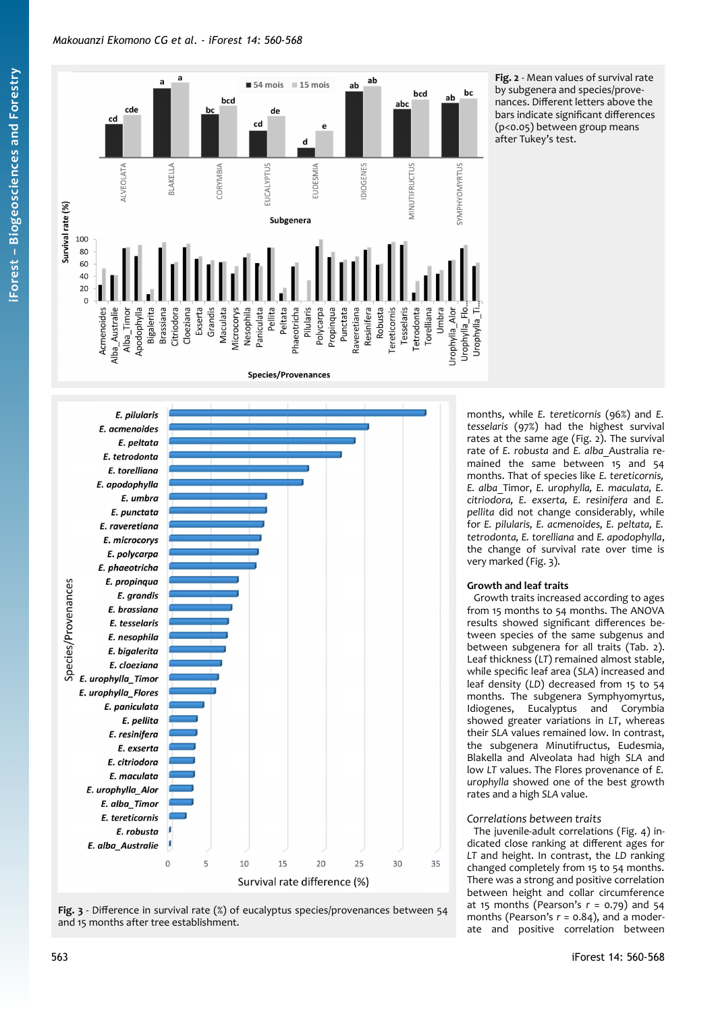# *Makouanzi Ekomono CG et al. - iForest 14: 560-568*



<span id="page-3-0"></span>**Fig. 2** - Mean values of survival rate by subgenera and species/provenances. Different letters above the bars indicate significant differences (p<0.05) between group means after Tukey's test.



<span id="page-3-1"></span>

months, while *E. tereticornis* (96%) and *E. tesselaris* (97%) had the highest survival rates at the same age ([Fig. 2](#page-3-0)). The survival rate of *E. robusta* and *E. alba*\_Australia remained the same between 15 and 54 months. That of species like *E. tereticornis, E. alba*\_Timor, *E. urophylla, E. maculata, E. citriodora, E. exserta, E. resinifera* and *E. pellita* did not change considerably, while for *E. pilularis, E. acmenoides, E. peltata, E. tetrodonta, E. torelliana* and *E. apodophylla*, the change of survival rate over time is very marked ([Fig. 3\)](#page-3-1).

# **Growth and leaf traits**

Growth traits increased according to ages from 15 months to 54 months. The ANOVA results showed significant differences between species of the same subgenus and between subgenera for all traits ([Tab. 2](#page-4-1)). Leaf thickness (*LT*) remained almost stable, while specific leaf area (*SLA*) increased and leaf density (*LD*) decreased from 15 to 54 months. The subgenera Symphyomyrtus, Idiogenes, Eucalyptus and Corymbia showed greater variations in *LT*, whereas their *SLA* values remained low. In contrast, the subgenera Minutifructus, Eudesmia, Blakella and Alveolata had high *SLA* and low *LT* values. The Flores provenance of *E. urophylla* showed one of the best growth rates and a high *SLA* value.

# *Correlations between traits*

The juvenile-adult correlations [\(Fig. 4\)](#page-4-0) indicated close ranking at different ages for *LT* and height. In contrast, the *LD* ranking changed completely from 15 to 54 months. There was a strong and positive correlation between height and collar circumference at 15 months (Pearson's *r* = 0.79) and 54 months (Pearson's  $r = 0.84$ ), and a moderate and positive correlation between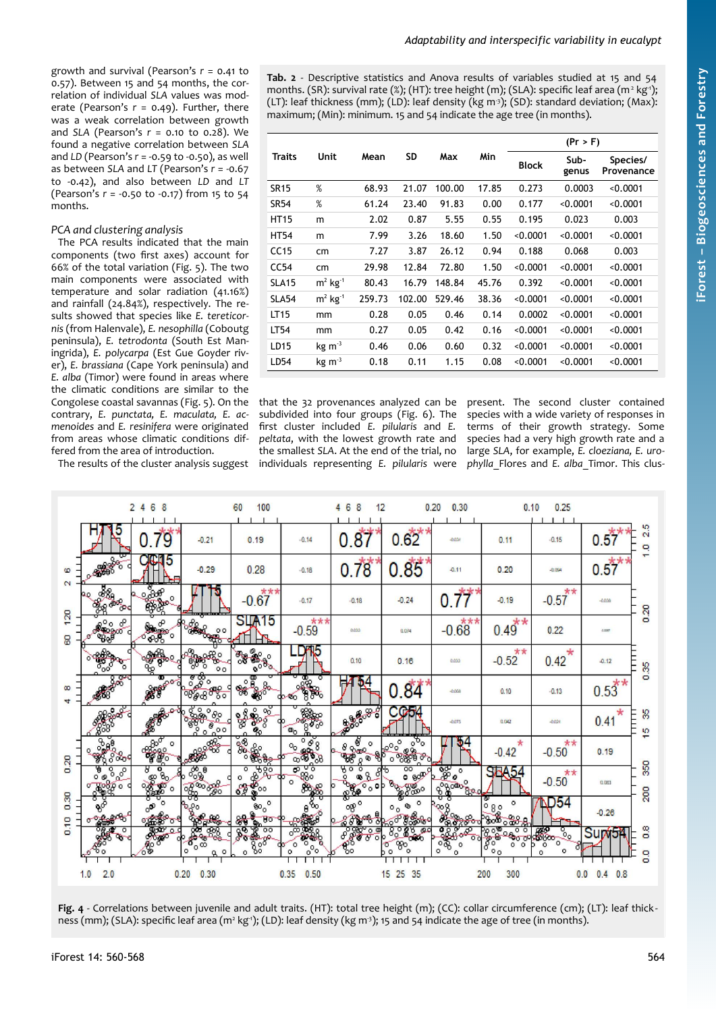growth and survival (Pearson's *r* = 0.41 to 0.57). Between 15 and 54 months, the correlation of individual *SLA* values was moderate (Pearson's *r* = 0.49). Further, there was a weak correlation between growth and *SLA* (Pearson's *r* = 0.10 to 0.28). We found a negative correlation between *SLA* and *LD* (Pearson's *r* = -0.59 to -0.50), as well as between *SLA* and *LT* (Pearson's *r* = -0.67 to -0.42), and also between *LD* and *LT* (Pearson's *r* = -0.50 to -0.17) from 15 to 54 months.

# *PCA and clustering analysis*

The PCA results indicated that the main components (two first axes) account for 66% of the total variation [\(Fig. 5\)](#page-5-1). The two main components were associated with temperature and solar radiation (41.16%) and rainfall (24.84%), respectively. The results showed that species like *E. tereticornis* (from Halenvale), *E. nesophilla* (Coboutg peninsula), *E. tetrodonta* (South Est Maningrida), *E. polycarpa* (Est Gue Goyder river), *E. brassiana* (Cape York peninsula) and *E. alba* (Timor) were found in areas where the climatic conditions are similar to the Congolese coastal savannas [\(Fig. 5\)](#page-5-1). On the contrary, *E. punctata, E. maculata, E. acmenoides* and *E. resinifera* were originated from areas whose climatic conditions differed from the area of introduction.

The results of the cluster analysis suggest

<span id="page-4-1"></span>**Tab. 2** - Descriptive statistics and Anova results of variables studied at 15 and 54 months. (SR): survival rate (%); (HT): tree height (m); (SLA): specific leaf area (m<sup>2</sup> kg<sup>,</sup>'); (LT): leaf thickness (mm); (LD): leaf density (kg m<sup>-3</sup>); (SD): standard deviation; (Max): maximum; (Min): minimum. 15 and 54 indicate the age tree (in months).

| Traits            | Unit                  | Mean   | SD     | Max    | Min   | (Pr > F)     |               |                        |
|-------------------|-----------------------|--------|--------|--------|-------|--------------|---------------|------------------------|
|                   |                       |        |        |        |       | <b>Block</b> | Sub-<br>genus | Species/<br>Provenance |
| <b>SR15</b>       | %                     | 68.93  | 21.07  | 100.00 | 17.85 | 0.273        | 0.0003        | < 0.0001               |
| <b>SR54</b>       | %                     | 61.24  | 23.40  | 91.83  | 0.00  | 0.177        | < 0.0001      | < 0.0001               |
| <b>HT15</b>       | m                     | 2.02   | 0.87   | 5.55   | 0.55  | 0.195        | 0.023         | 0.003                  |
| <b>HT54</b>       | m                     | 7.99   | 3.26   | 18.60  | 1.50  | < 0.0001     | < 0.0001      | < 0.0001               |
| CC15              | cm                    | 7.27   | 3.87   | 26.12  | 0.94  | 0.188        | 0.068         | 0.003                  |
| CC54              | cm                    | 29.98  | 12.84  | 72.80  | 1.50  | < 0.0001     | < 0.0001      | < 0.0001               |
| <b>SLA15</b>      | $m2$ kg <sup>-1</sup> | 80.43  | 16.79  | 148.84 | 45.76 | 0.392        | < 0.0001      | < 0.0001               |
| SLA <sub>54</sub> | $m2$ kg <sup>-1</sup> | 259.73 | 102.00 | 529.46 | 38.36 | < 0.0001     | < 0.0001      | < 0.0001               |
| LT15              | mm                    | 0.28   | 0.05   | 0.46   | 0.14  | 0.0002       | < 0.0001      | < 0.0001               |
| LT54              | mm                    | 0.27   | 0.05   | 0.42   | 0.16  | < 0.0001     | < 0.0001      | < 0.0001               |
| LD15              | $kg \, m-3$           | 0.46   | 0.06   | 0.60   | 0.32  | < 0.0001     | < 0.0001      | < 0.0001               |
| LD54              | $kg \, m^{-3}$        | 0.18   | 0.11   | 1.15   | 0.08  | < 0.0001     | < 0.0001      | < 0.0001               |

that the 32 provenances analyzed can be present. The second cluster contained subdivided into four groups ([Fig. 6](#page-5-0)). The first cluster included *E. pilularis* and *E. peltata*, with the lowest growth rate and the smallest *SLA*. At the end of the trial, no individuals representing *E. pilularis* were

species with a wide variety of responses in terms of their growth strategy. Some species had a very high growth rate and a large *SLA*, for example, *E. cloeziana, E. urophylla*\_Flores and *E. alba*\_Timor. This clus-



<span id="page-4-0"></span>**Fig. 4** - Correlations between juvenile and adult traits. (HT): total tree height (m); (CC): collar circumference (cm); (LT): leaf thickness (mm); (SLA): specific leaf area (m² kgʻ); (LD): leaf density (kg m'); 15 and 54 indicate the age of tree (in months).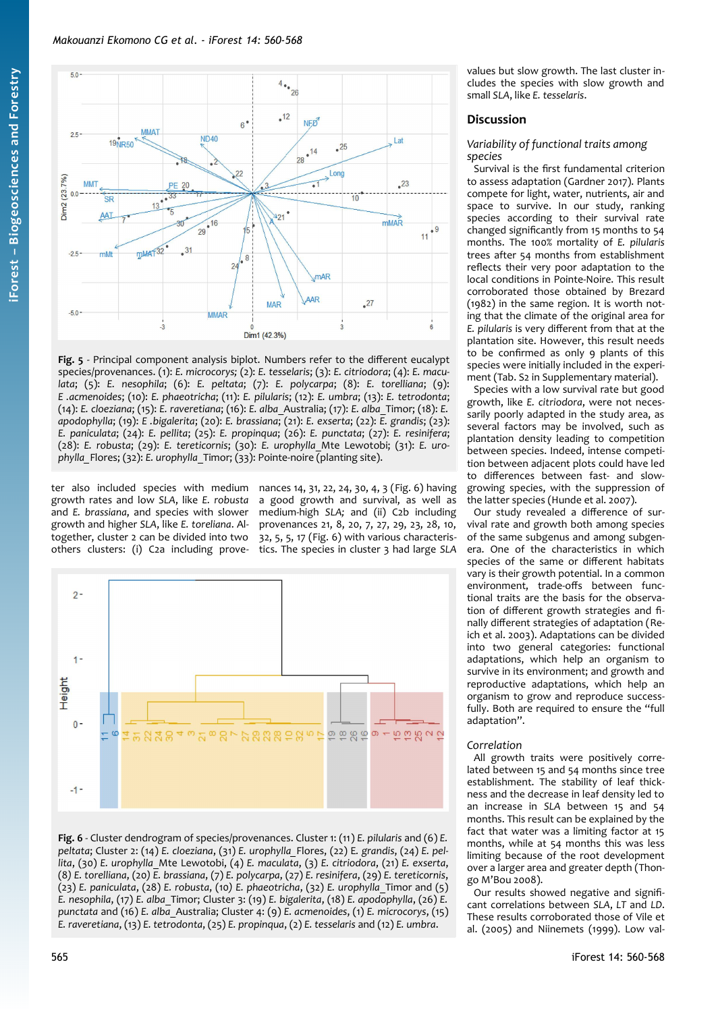

<span id="page-5-1"></span>**Fig. 5** - Principal component analysis biplot. Numbers refer to the different eucalypt species/provenances. (1): *E. microcorys;* (2): *E. tesselaris*; (3): *E. citriodora*; (4): *E. maculata*; (5): *E. nesophila*; (6): *E. peltata*; (7): *E. polycarpa*; (8): *E. torelliana*; (9): *E .acmenoides*; (10): *E. phaeotricha*; (11): *E. pilularis*; (12): *E. umbra*; (13): *E. tetrodonta*; (14): *E. cloeziana*; (15): *E. raveretiana*; (16): *E. alba*\_Australia; (17): *E. alba*\_Timor; (18): *E. apodophylla*; (19): *E .bigalerita*; (20): *E. brassiana*; (21): *E. exserta*; (22): *E. grandis*; (23): *E. paniculata*; (24): *E. pellita*; (25): *E. propinqua*; (26): *E. punctata*; (27): *E. resinifera*; (28): *E. robusta*; (29): *E. tereticornis*; (30): *E. urophylla*\_Mte Lewotobi; (31): *E. urophylla\_*Flores; (32): *E. urophylla*\_Timor; (33): Pointe-noire (planting site).

ter also included species with medium nances 14, 31, 22, 24, 30, 4, 3 ([Fig. 6](#page-5-0)) having growth rates and low *SLA*, like *E. robusta* and *E. brassiana*, and species with slower growth and higher *SLA*, like *E. toreliana*. Altogether, cluster 2 can be divided into two others clusters: (i) C2a including prove-

a good growth and survival, as well as medium-high *SLA;* and (ii) C2b including provenances 21, 8, 20, 7, 27, 29, 23, 28, 10, 32, 5, 5, 17 ([Fig. 6\)](#page-5-0) with various characteristics. The species in cluster 3 had large *SLA*



<span id="page-5-0"></span>**Fig. 6** - Cluster dendrogram of species/provenances. Cluster 1: (11) *E. pilularis* and (6) *E. peltata*; Cluster 2: (14) *E. cloeziana*, (31) *E. urophylla\_*Flores, (22) E*. grandis*, (24) *E. pellita*, (30) *E. urophylla*\_Mte Lewotobi, (4) *E. maculata*, (3) *E. citriodora*, (21) *E. exserta*, (8*) E. torelliana*, (20*) E. brassiana*, (7) *E. polycarpa*, (27) *E. resinifera*, (29) *E. tereticornis*, (23) *E. paniculata*, (28) *E. robusta*, (10*) E. phaeotricha*, (32) *E. urophylla*\_Timor and (5) *E. nesophila*, (17) *E. alba*\_Timor; Cluster 3: (19) *E. bigalerita*, (18) *E. apodophylla*, (26) *E. punctata* and (16) *E. alba*\_Australia; Cluster 4: (9) *E. acmenoides*, (1) *E. microcorys*, (15) *E. raveretiana*, (13) *E. tetrodonta*, (25) *E. propinqua*, (2) *E. tesselaris* and (12) *E. umbra*.

values but slow growth. The last cluster includes the species with slow growth and small *SLA*, like *E. tesselaris*.

# **Discussion**

# *Variability of functional traits among species*

Survival is the first fundamental criterion to assess adaptation (Gardner 2017). Plants compete for light, water, nutrients, air and space to survive. In our study, ranking species according to their survival rate changed significantly from 15 months to 54 months. The 100% mortality of *E. pilularis* trees after 54 months from establishment reflects their very poor adaptation to the local conditions in Pointe-Noire. This result corroborated those obtained by Brezard (1982) in the same region. It is worth noting that the climate of the original area for *E. pilularis* is very different from that at the plantation site. However, this result needs to be confirmed as only 9 plants of this species were initially included in the experiment (Tab. S2 in Supplementary material).

Species with a low survival rate but good growth, like *E. citriodora*, were not necessarily poorly adapted in the study area, as several factors may be involved, such as plantation density leading to competition between species. Indeed, intense competition between adjacent plots could have led to differences between fast- and slowgrowing species, with the suppression of the latter species (Hunde et al. 2007).

Our study revealed a difference of survival rate and growth both among species of the same subgenus and among subgenera. One of the characteristics in which species of the same or different habitats vary is their growth potential. In a common environment, trade-offs between functional traits are the basis for the observation of different growth strategies and finally different strategies of adaptation (Reich et al. 2003). Adaptations can be divided into two general categories: functional adaptations, which help an organism to survive in its environment; and growth and reproductive adaptations, which help an organism to grow and reproduce successfully. Both are required to ensure the "full adaptation".

# *Correlation*

All growth traits were positively correlated between 15 and 54 months since tree establishment. The stability of leaf thickness and the decrease in leaf density led to an increase in *SLA* between 15 and 54 months. This result can be explained by the fact that water was a limiting factor at 15 months, while at 54 months this was less limiting because of the root development over a larger area and greater depth (Thongo M'Bou 2008).

Our results showed negative and significant correlations between *SLA*, *LT* and *LD*. These results corroborated those of Vile et al. (2005) and Niinemets (1999). Low val-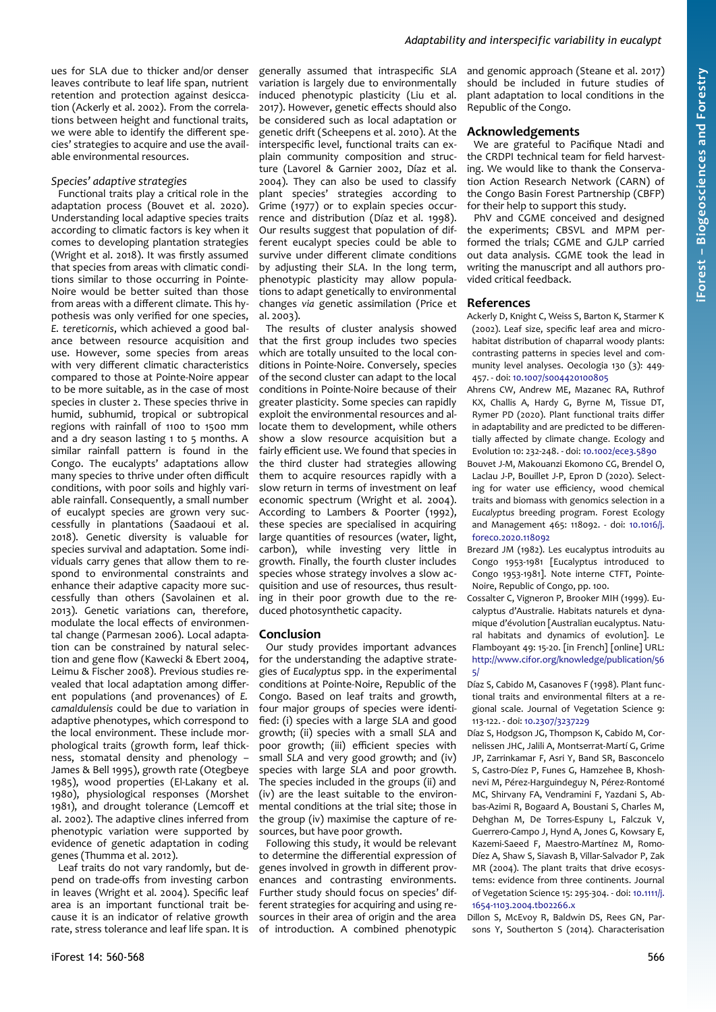ues for SLA due to thicker and/or denser leaves contribute to leaf life span, nutrient retention and protection against desiccation (Ackerly et al. 2002). From the correlations between height and functional traits, we were able to identify the different species' strategies to acquire and use the available environmental resources.

# *Species' adaptive strategies*

Functional traits play a critical role in the adaptation process (Bouvet et al. 2020). Understanding local adaptive species traits according to climatic factors is key when it comes to developing plantation strategies (Wright et al. 2018). It was firstly assumed that species from areas with climatic conditions similar to those occurring in Pointe-Noire would be better suited than those from areas with a different climate. This hypothesis was only verified for one species, *E. tereticornis*, which achieved a good balance between resource acquisition and use. However, some species from areas with very different climatic characteristics compared to those at Pointe-Noire appear to be more suitable, as in the case of most species in cluster 2. These species thrive in humid, subhumid, tropical or subtropical regions with rainfall of 1100 to 1500 mm and a dry season lasting 1 to 5 months. A similar rainfall pattern is found in the Congo. The eucalypts' adaptations allow many species to thrive under often difficult conditions, with poor soils and highly variable rainfall. Consequently, a small number of eucalypt species are grown very successfully in plantations (Saadaoui et al. 2018). Genetic diversity is valuable for species survival and adaptation. Some individuals carry genes that allow them to respond to environmental constraints and enhance their adaptive capacity more successfully than others (Savolainen et al. 2013). Genetic variations can, therefore, modulate the local effects of environmental change (Parmesan 2006). Local adaptation can be constrained by natural selection and gene flow (Kawecki & Ebert 2004, Leimu & Fischer 2008). Previous studies revealed that local adaptation among different populations (and provenances) of *E. camaldulensis* could be due to variation in adaptive phenotypes, which correspond to the local environment. These include morphological traits (growth form, leaf thickness, stomatal density and phenology – James & Bell 1995), growth rate (Otegbeye 1985), wood properties (El-Lakany et al. 1980), physiological responses (Morshet 1981), and drought tolerance (Lemcoff et al. 2002). The adaptive clines inferred from phenotypic variation were supported by evidence of genetic adaptation in coding genes (Thumma et al. 2012).

Leaf traits do not vary randomly, but depend on trade-offs from investing carbon in leaves (Wright et al. 2004). Specific leaf area is an important functional trait because it is an indicator of relative growth rate, stress tolerance and leaf life span. It is generally assumed that intraspecific *SLA* variation is largely due to environmentally induced phenotypic plasticity (Liu et al. 2017). However, genetic effects should also be considered such as local adaptation or genetic drift (Scheepens et al. 2010). At the interspecific level, functional traits can explain community composition and structure (Lavorel & Garnier 2002, Díaz et al. 2004). They can also be used to classify plant species' strategies according to Grime (1977) or to explain species occurrence and distribution (Díaz et al. 1998). Our results suggest that population of different eucalypt species could be able to survive under different climate conditions by adjusting their *SLA*. In the long term, phenotypic plasticity may allow populations to adapt genetically to environmental changes *via* genetic assimilation (Price et al. 2003).

The results of cluster analysis showed that the first group includes two species which are totally unsuited to the local conditions in Pointe-Noire. Conversely, species of the second cluster can adapt to the local conditions in Pointe-Noire because of their greater plasticity. Some species can rapidly exploit the environmental resources and allocate them to development, while others show a slow resource acquisition but a fairly efficient use. We found that species in the third cluster had strategies allowing them to acquire resources rapidly with a slow return in terms of investment on leaf economic spectrum (Wright et al. 2004). According to Lambers & Poorter (1992), these species are specialised in acquiring large quantities of resources (water, light, carbon), while investing very little in growth. Finally, the fourth cluster includes species whose strategy involves a slow acquisition and use of resources, thus resulting in their poor growth due to the reduced photosynthetic capacity.

# **Conclusion**

Our study provides important advances for the understanding the adaptive strategies of *Eucalyptus* spp. in the experimental conditions at Pointe-Noire, Republic of the Congo. Based on leaf traits and growth, four major groups of species were identified: (i) species with a large *SLA* and good growth; (ii) species with a small *SLA* and poor growth; (iii) efficient species with small *SLA* and very good growth; and (iv) species with large *SLA* and poor growth. The species included in the groups (ii) and (iv) are the least suitable to the environmental conditions at the trial site; those in the group (iv) maximise the capture of resources, but have poor growth.

Following this study, it would be relevant to determine the differential expression of genes involved in growth in different provenances and contrasting environments. Further study should focus on species' different strategies for acquiring and using resources in their area of origin and the area of introduction. A combined phenotypic and genomic approach (Steane et al. 2017) should be included in future studies of plant adaptation to local conditions in the Republic of the Congo.

#### **Acknowledgements**

We are grateful to Pacifique Ntadi and the CRDPI technical team for field harvesting. We would like to thank the Conservation Action Research Network (CARN) of the Congo Basin Forest Partnership (CBFP) for their help to support this study.

PhV and CGME conceived and designed the experiments; CBSVL and MPM performed the trials; CGME and GJLP carried out data analysis. CGME took the lead in writing the manuscript and all authors provided critical feedback.

# **References**

- Ackerly D, Knight C, Weiss S, Barton K, Starmer K (2002). Leaf size, specific leaf area and microhabitat distribution of chaparral woody plants: contrasting patterns in species level and community level analyses. Oecologia 130 (3): 449- 457. - doi: [10.1007/s004420100805](https://doi.org/10.1007/s004420100805)
- Ahrens CW, Andrew ME, Mazanec RA, Ruthrof KX, Challis A, Hardy G, Byrne M, Tissue DT, Rymer PD (2020). Plant functional traits differ in adaptability and are predicted to be differentially affected by climate change. Ecology and Evolution 10: 232-248. - doi: [10.1002/ece3.5890](https://doi.org/10.1002/ece3.5890)
- Bouvet J-M, Makouanzi Ekomono CG, Brendel O, Laclau J-P, Bouillet J-P, Epron D (2020). Selecting for water use efficiency, wood chemical traits and biomass with genomics selection in a *Eucalyptus* breeding program. Forest Ecology and Management 465: 118092. - doi: [10.1016/j.](https://doi.org/10.1016/j.foreco.2020.118092) [foreco.2020.118092](https://doi.org/10.1016/j.foreco.2020.118092)
- Brezard JM (1982). Les eucalyptus introduits au Congo 1953-1981 [Eucalyptus introduced to Congo 1953-1981]. Note interne CTFT, Pointe-Noire, Republic of Congo, pp. 100.
- Cossalter C, Vigneron P, Brooker MIH (1999). Eucalyptus d'Australie. Habitats naturels et dynamique d'évolution [Australian eucalyptus. Natural habitats and dynamics of evolution]. Le Flamboyant 49: 15-20. [in French] [online] URL: [http://www.cifor.org/knowledge/publication/56](http://www.cifor.org/knowledge/publication/565/)  $5/$
- Díaz S, Cabido M, Casanoves F (1998). Plant functional traits and environmental filters at a regional scale. Journal of Vegetation Science 9: 113-122. - doi: [10.2307/3237229](https://doi.org/10.2307/3237229)
- Díaz S, Hodgson JG, Thompson K, Cabido M, Cornelissen JHC, Jalili A, Montserrat-Martí G, Grime JP, Zarrinkamar F, Asri Y, Band SR, Basconcelo S, Castro-Díez P, Funes G, Hamzehee B, Khoshnevi M, Pérez-Harguindeguy N, Pérez-Rontomé MC, Shirvany FA, Vendramini F, Yazdani S, Abbas-Azimi R, Bogaard A, Boustani S, Charles M, Dehghan M, De Torres-Espuny L, Falczuk V, Guerrero-Campo J, Hynd A, Jones G, Kowsary E, Kazemi-Saeed F, Maestro-Martínez M, Romo-Díez A, Shaw S, Siavash B, Villar-Salvador P, Zak MR (2004). The plant traits that drive ecosystems: evidence from three continents. Journal of Vegetation Science 15: 295-304. - doi: [10.1111/j.](https://doi.org/10.1111/j.1654-1103.2004.tb02266.x) [1654-1103.2004.tb02266.x](https://doi.org/10.1111/j.1654-1103.2004.tb02266.x)

Dillon S, McEvoy R, Baldwin DS, Rees GN, Parsons Y, Southerton S (2014). Characterisation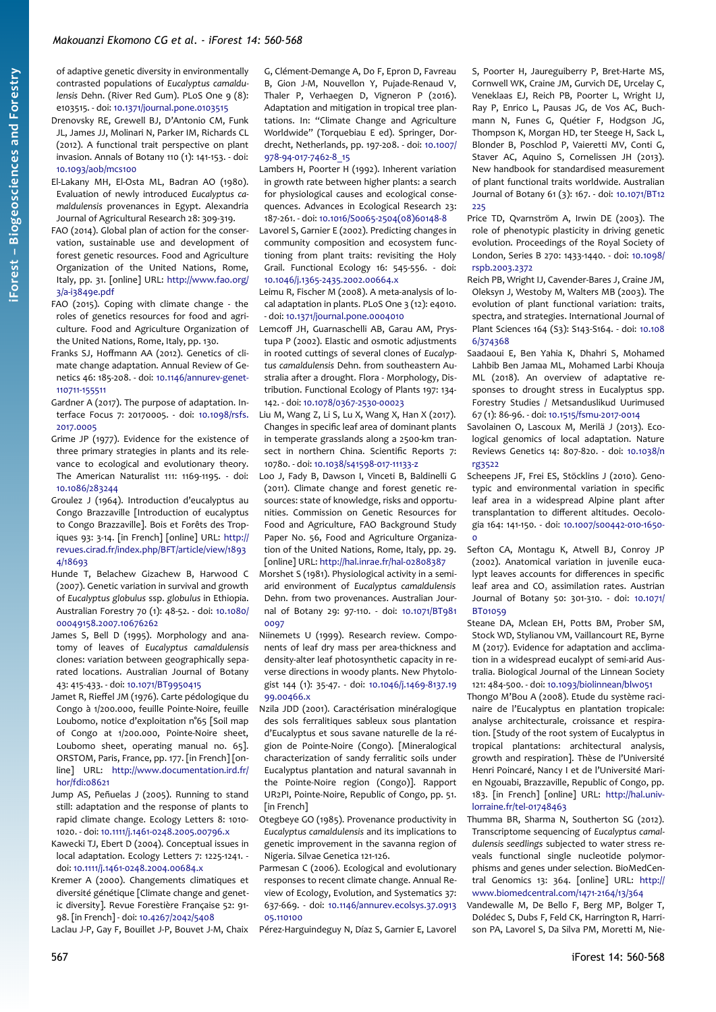of adaptive genetic diversity in environmentally contrasted populations of *Eucalyptus camaldulensis* Dehn. (River Red Gum). PLoS One 9 (8): e103515. - doi: [10.1371/journal.pone.0103515](https://doi.org/10.1371/journal.pone.0103515)

Drenovsky RE, Grewell BJ, D'Antonio CM, Funk JL, James JJ, Molinari N, Parker IM, Richards CL (2012). A functional trait perspective on plant invasion. Annals of Botany 110 (1): 141-153. - doi: [10.1093/aob/mcs100](https://doi.org/10.1093/aob/mcs100)

- El-Lakany MH, El-Osta ML, Badran AO (1980). Evaluation of newly introduced *Eucalyptus camaldulensis* provenances in Egypt. Alexandria Journal of Agricultural Research 28: 309-319.
- FAO (2014). Global plan of action for the conservation, sustainable use and development of forest genetic resources. Food and Agriculture Organization of the United Nations, Rome, Italy, pp. 31. [online] URL: [http://www.fao.org/](http://www.fao.org/3/a-i3849e.pdf) [3/a-i3849e.pdf](http://www.fao.org/3/a-i3849e.pdf)
- FAO (2015). Coping with climate change the roles of genetics resources for food and agriculture. Food and Agriculture Organization of the United Nations, Rome, Italy, pp. 130.
- Franks SJ, Hoffmann AA (2012). Genetics of climate change adaptation. Annual Review of Genetics 46: 185-208. - doi: [10.1146/annurev-genet-](https://doi.org/10.1146/annurev-genet-110711-155511)[110711-155511](https://doi.org/10.1146/annurev-genet-110711-155511)
- Gardner A (2017). The purpose of adaptation. Interface Focus 7: 20170005. - doi: [10.1098/rsfs.](https://doi.org/10.1098/rsfs.2017.0005) [2017.0005](https://doi.org/10.1098/rsfs.2017.0005)
- Grime JP (1977). Evidence for the existence of three primary strategies in plants and its relevance to ecological and evolutionary theory. The American Naturalist 111: 1169-1195. - doi: [10.1086/283244](https://doi.org/10.1086/283244)
- Groulez J (1964). Introduction d'eucalyptus au Congo Brazzaville [Introduction of eucalyptus to Congo Brazzaville]. Bois et Forêts des Tropiques 93: 3-14. [in French] [online] URL: [http://](http://revues.cirad.fr/index.php/BFT/article/view/18934/18693) [revues.cirad.fr/index.php/BFT/article/view/1893](http://revues.cirad.fr/index.php/BFT/article/view/18934/18693) [4/18693](http://revues.cirad.fr/index.php/BFT/article/view/18934/18693)
- Hunde T, Belachew Gizachew B, Harwood C (2007). Genetic variation in survival and growth of *Eucalyptus globulus* ssp. *globulus* in Ethiopia. Australian Forestry 70 (1): 48-52. - doi: [10.1080/](https://doi.org/10.1080/00049158.2007.10676262) [00049158.2007.10676262](https://doi.org/10.1080/00049158.2007.10676262)
- James S, Bell D (1995). Morphology and anatomy of leaves of *Eucalyptus camaldulensis* clones: variation between geographically separated locations. Australian Journal of Botany 43: 415-433. - doi: [10.1071/BT9950415](https://doi.org/10.1071/BT9950415)
- Jamet R, Rieffel JM (1976). Carte pédologique du Congo à 1/200.000, feuille Pointe-Noire, feuille Loubomo, notice d'exploitation n°65 [Soil map of Congo at 1/200.000, Pointe-Noire sheet, Loubomo sheet, operating manual no. 65]. ORSTOM, Paris, France, pp. 177. [in French] [online] URL: [http://www.documentation.ird.fr/](http://www.documentation.ird.fr/hor/fdi:08621) [hor/fdi:08621](http://www.documentation.ird.fr/hor/fdi:08621)
- Jump AS, Peñuelas J (2005). Running to stand still: adaptation and the response of plants to rapid climate change. Ecology Letters 8: 1010- 1020. - doi: [10.1111/j.1461-0248.2005.00796.x](https://doi.org/10.1111/j.1461-0248.2005.00796.x)
- Kawecki TJ, Ebert D (2004). Conceptual issues in local adaptation. Ecology Letters 7: 1225-1241. doi: [10.1111/j.1461-0248.2004.00684.x](https://doi.org/10.1111/j.1461-0248.2004.00684.x)
- Kremer A (2000). Changements climatiques et diversité génétique [Climate change and genetic diversity]. Revue Forestière Française 52: 91- 98. [in French] - doi: [10.4267/2042/5408](https://doi.org/10.4267/2042/5408)

Laclau J-P, Gay F, Bouillet J-P, Bouvet J-M, Chaix

G, Clément-Demange A, Do F, Epron D, Favreau B, Gion J-M, Nouvellon Y, Pujade-Renaud V, Thaler P, Verhaegen D, Vigneron P (2016). Adaptation and mitigation in tropical tree plantations. In: "Climate Change and Agriculture Worldwide" (Torquebiau E ed). Springer, Dordrecht, Netherlands, pp. 197-208. - doi: [10.1007/](https://doi.org/10.1007/978-94-017-7462-8_15) [978-94-017-7462-8\\_15](https://doi.org/10.1007/978-94-017-7462-8_15)

Lambers H, Poorter H (1992). Inherent variation in growth rate between higher plants: a search for physiological causes and ecological consequences. Advances in Ecological Research 23: 187-261. - doi: [10.1016/S0065-2504\(08\)60148-8](https://doi.org/10.1016/S0065-2504(08)60148-8)

Lavorel S, Garnier E (2002). Predicting changes in community composition and ecosystem functioning from plant traits: revisiting the Holy Grail. Functional Ecology 16: 545-556. - doi: [10.1046/j.1365-2435.2002.00664.x](https://doi.org/10.1046/j.1365-2435.2002.00664.x)

Leimu R, Fischer M (2008). A meta-analysis of local adaptation in plants. PLoS One 3 (12): e4010. - doi: [10.1371/journal.pone.0004010](https://doi.org/10.1371/journal.pone.0004010)

Lemcoff JH, Guarnaschelli AB, Garau AM, Prystupa P (2002). Elastic and osmotic adjustments in rooted cuttings of several clones of *Eucalyptus camaldulensis* Dehn. from southeastern Australia after a drought. Flora - Morphology, Distribution. Functional Ecology of Plants 197: 134- 142. - doi: [10.1078/0367-2530-00023](https://doi.org/10.1078/0367-2530-00023)

Liu M, Wang Z, Li S, Lu X, Wang X, Han X (2017). Changes in specific leaf area of dominant plants in temperate grasslands along a 2500-km transect in northern China. Scientific Reports 7: 10780. - doi: [10.1038/s41598-017-11133-z](https://doi.org/10.1038/s41598-017-11133-z)

Loo J, Fady B, Dawson I, Vinceti B, Baldinelli G (2011). Climate change and forest genetic resources: state of knowledge, risks and opportunities. Commission on Genetic Resources for Food and Agriculture, FAO Background Study Paper No. 56, Food and Agriculture Organization of the United Nations, Rome, Italy, pp. 29. [online] URL: <http://hal.inrae.fr/hal-02808387>

Morshet S (1981). Physiological activity in a semiarid environment of *Eucalyptus camaldulensis* Dehn. from two provenances. Australian Journal of Botany 29: 97-110. - doi: [10.1071/BT981](https://doi.org/10.1071/BT9810097) [0097](https://doi.org/10.1071/BT9810097)

Niinemets U (1999). Research review. Components of leaf dry mass per area-thickness and density-alter leaf photosynthetic capacity in reverse directions in woody plants. New Phytologist 144 (1): 35-47. - doi: [10.1046/j.1469-8137.19](https://doi.org/10.1046/j.1469-8137.1999.00466.x) [99.00466.x](https://doi.org/10.1046/j.1469-8137.1999.00466.x)

Nzila JDD (2001). Caractérisation minéralogique des sols ferralitiques sableux sous plantation d'Eucalyptus et sous savane naturelle de la région de Pointe-Noire (Congo). [Mineralogical characterization of sandy ferralitic soils under Eucalyptus plantation and natural savannah in the Pointe-Noire region (Congo)]. Rapport UR2PI, Pointe-Noire, Republic of Congo, pp. 51. [in French]

Otegbeye GO (1985). Provenance productivity in *Eucalyptus camaldulensis* and its implications to genetic improvement in the savanna region of Nigeria. Silvae Genetica 121-126.

Parmesan C (2006). Ecological and evolutionary responses to recent climate change. Annual Review of Ecology, Evolution, and Systematics 37: 637-669. - doi: [10.1146/annurev.ecolsys.37.0913](https://doi.org/10.1146/annurev.ecolsys.37.091305.110100) [05.110100](https://doi.org/10.1146/annurev.ecolsys.37.091305.110100)

Pérez-Harguindeguy N, Díaz S, Garnier E, Lavorel

S, Poorter H, Jaureguiberry P, Bret-Harte MS, Cornwell WK, Craine JM, Gurvich DE, Urcelay C, Veneklaas EJ, Reich PB, Poorter L, Wright IJ, Ray P, Enrico L, Pausas JG, de Vos AC, Buchmann N, Funes G, Quétier F, Hodgson JG, Thompson K, Morgan HD, ter Steege H, Sack L, Blonder B, Poschlod P, Vaieretti MV, Conti G, Staver AC, Aquino S, Cornelissen JH (2013). New handbook for standardised measurement of plant functional traits worldwide. Australian Journal of Botany 61 (3): 167. - doi: [10.1071/BT12](https://doi.org/10.1071/BT12225)  $225$ 

- Price TD, Qvarnström A, Irwin DE (2003). The role of phenotypic plasticity in driving genetic evolution. Proceedings of the Royal Society of London, Series B 270: 1433-1440. - doi: [10.1098/](https://doi.org/10.1098/rspb.2003.2372) [rspb.2003.2372](https://doi.org/10.1098/rspb.2003.2372)
- Reich PB, Wright IJ, Cavender-Bares J, Craine JM, Oleksyn J, Westoby M, Walters MB (2003). The evolution of plant functional variation: traits, spectra, and strategies. International Journal of Plant Sciences 164 (S3): S143-S164. - doi: [10.108](https://doi.org/10.1086/374368) [6/374368](https://doi.org/10.1086/374368)
- Saadaoui E, Ben Yahia K, Dhahri S, Mohamed Lahbib Ben Jamaa ML, Mohamed Larbi Khouja ML (2018). An overview of adaptative responses to drought stress in Eucalyptus spp. Forestry Studies / Metsanduslikud Uurimused 67 (1): 86-96. - doi: [10.1515/fsmu-2017-0014](https://doi.org/10.1515/fsmu-2017-0014)
- Savolainen O, Lascoux M, Merilä J (2013). Ecological genomics of local adaptation. Nature Reviews Genetics 14: 807-820. - doi: [10.1038/n](https://doi.org/10.1038/nrg3522) [rg3522](https://doi.org/10.1038/nrg3522)
- Scheepens JF, Frei ES, Stöcklins J (2010). Genotypic and environmental variation in specific leaf area in a widespread Alpine plant after transplantation to different altitudes. Oecologia 164: 141-150. - doi: [10.1007/s00442-010-1650-](https://doi.org/10.1007/s00442-010-1650-0)  $\Omega$
- Sefton CA, Montagu K, Atwell BJ, Conroy JP (2002). Anatomical variation in juvenile eucalypt leaves accounts for differences in specific leaf area and  $CO<sub>2</sub>$  assimilation rates. Austrian Journal of Botany 50: 301-310. - doi: [10.1071/](https://doi.org/10.1071/BT01059) [BT01059](https://doi.org/10.1071/BT01059)
- Steane DA, Mclean EH, Potts BM, Prober SM, Stock WD, Stylianou VM, Vaillancourt RE, Byrne M (2017). Evidence for adaptation and acclimation in a widespread eucalypt of semi-arid Australia. Biological Journal of the Linnean Society 121: 484-500. - doi: [10.1093/biolinnean/blw051](https://doi.org/10.1093/biolinnean/blw051)

Thongo M'Bou A (2008). Etude du système racinaire de l'Eucalyptus en plantation tropicale: analyse architecturale, croissance et respiration. [Study of the root system of Eucalyptus in tropical plantations: architectural analysis, growth and respiration]. Thèse de l'Université Henri Poincaré, Nancy I et de l'Université Marien Ngouabi, Brazzaville, Republic of Congo, pp. 183. [in French] [online] URL: [http://hal.univ](http://hal.univ-lorraine.fr/tel-01748463)[lorraine.fr/tel-01748463](http://hal.univ-lorraine.fr/tel-01748463)

Thumma BR, Sharma N, Southerton SG (2012). Transcriptome sequencing of *Eucalyptus camaldulensis seedlings* subjected to water stress reveals functional single nucleotide polymorphisms and genes under selection. BioMedCentral Genomics 13: 364. [online] URL: [http://](http://www.biomedcentral.com/1471-2164/13/364) [www.biomedcentral.com/1471-2164/13/364](http://www.biomedcentral.com/1471-2164/13/364)

Vandewalle M, De Bello F, Berg MP, Bolger T, Dolédec S, Dubs F, Feld CK, Harrington R, Harrison PA, Lavorel S, Da Silva PM, Moretti M, Nie